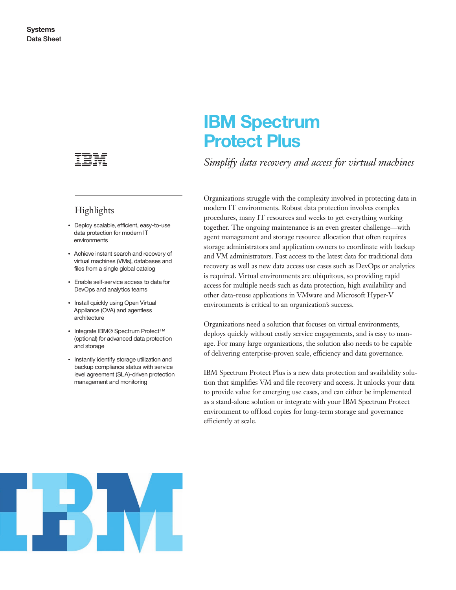

## **Highlights**

- Deploy scalable, efficient, easy-to-use data protection for modern IT environments
- Achieve instant search and recovery of virtual machines (VMs), databases and files from a single global catalog
- Enable self-service access to data for DevOps and analytics teams
- Install quickly using Open Virtual Appliance (OVA) and agentless architecture
- Integrate IBM® Spectrum Protect™ (optional) for advanced data protection and storage
- Instantly identify storage utilization and backup compliance status with service level agreement (SLA)-driven protection management and monitoring

# **IBM Spectrum Protect Plus**

*Simplify data recovery and access for virtual machines*

Organizations struggle with the complexity involved in protecting data in modern IT environments. Robust data protection involves complex procedures, many IT resources and weeks to get everything working together. The ongoing maintenance is an even greater challenge—with agent management and storage resource allocation that often requires storage administrators and application owners to coordinate with backup and VM administrators. Fast access to the latest data for traditional data recovery as well as new data access use cases such as DevOps or analytics is required. Virtual environments are ubiquitous, so providing rapid access for multiple needs such as data protection, high availability and other data-reuse applications in VMware and Microsoft Hyper-V environments is critical to an organization's success.

Organizations need a solution that focuses on virtual environments, deploys quickly without costly service engagements, and is easy to manage. For many large organizations, the solution also needs to be capable of delivering enterprise-proven scale, efficiency and data governance.

IBM Spectrum Protect Plus is a new data protection and availability solution that simplifies VM and file recovery and access. It unlocks your data to provide value for emerging use cases, and can either be implemented as a stand-alone solution or integrate with your IBM Spectrum Protect environment to offload copies for long-term storage and governance efficiently at scale.

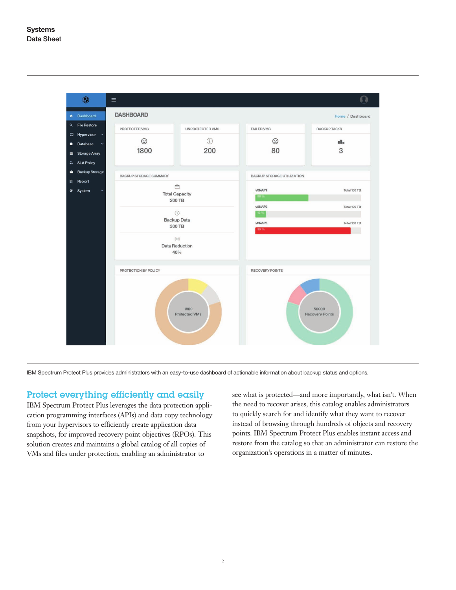

IBM Spectrum Protect Plus provides administrators with an easy-to-use dashboard of actionable information about backup status and options.

#### Protect everything efficiently and easily

IBM Spectrum Protect Plus leverages the data protection application programming interfaces (APIs) and data copy technology from your hypervisors to efficiently create application data snapshots, for improved recovery point objectives (RPOs). This solution creates and maintains a global catalog of all copies of VMs and files under protection, enabling an administrator to

see what is protected—and more importantly, what isn't. When the need to recover arises, this catalog enables administrators to quickly search for and identify what they want to recover instead of browsing through hundreds of objects and recovery points. IBM Spectrum Protect Plus enables instant access and restore from the catalog so that an administrator can restore the organization's operations in a matter of minutes.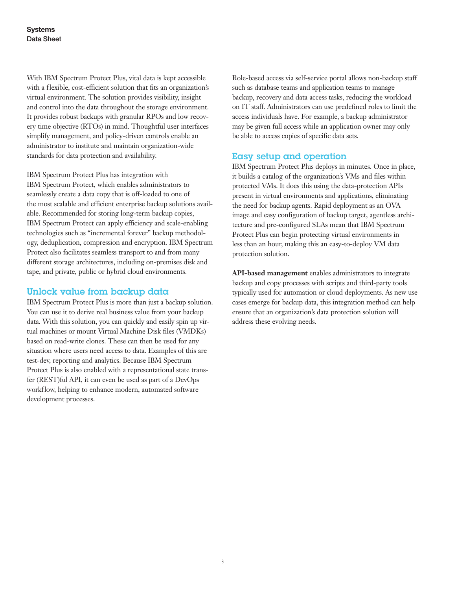With IBM Spectrum Protect Plus, vital data is kept accessible with a flexible, cost-efficient solution that fits an organization's virtual environment. The solution provides visibility, insight and control into the data throughout the storage environment. It provides robust backups with granular RPOs and low recovery time objective (RTOs) in mind. Thoughtful user interfaces simplify management, and policy-driven controls enable an administrator to institute and maintain organization-wide standards for data protection and availability.

IBM Spectrum Protect Plus has integration with IBM Spectrum Protect, which enables administrators to seamlessly create a data copy that is off-loaded to one of the most scalable and efficient enterprise backup solutions available. Recommended for storing long-term backup copies, IBM Spectrum Protect can apply efficiency and scale-enabling technologies such as "incremental forever" backup methodology, deduplication, compression and encryption. IBM Spectrum Protect also facilitates seamless transport to and from many different storage architectures, including on-premises disk and tape, and private, public or hybrid cloud environments.

#### Unlock value from backup data

IBM Spectrum Protect Plus is more than just a backup solution. You can use it to derive real business value from your backup data. With this solution, you can quickly and easily spin up virtual machines or mount Virtual Machine Disk files (VMDKs) based on read-write clones. These can then be used for any situation where users need access to data. Examples of this are test-dev, reporting and analytics. Because IBM Spectrum Protect Plus is also enabled with a representational state transfer (REST)ful API, it can even be used as part of a DevOps workflow, helping to enhance modern, automated software development processes.

Role-based access via self-service portal allows non-backup staff such as database teams and application teams to manage backup, recovery and data access tasks, reducing the workload on IT staff. Administrators can use predefined roles to limit the access individuals have. For example, a backup administrator may be given full access while an application owner may only be able to access copies of specific data sets.

### Easy setup and operation

IBM Spectrum Protect Plus deploys in minutes. Once in place, it builds a catalog of the organization's VMs and files within protected VMs. It does this using the data-protection APIs present in virtual environments and applications, eliminating the need for backup agents. Rapid deployment as an OVA image and easy configuration of backup target, agentless architecture and pre-configured SLAs mean that IBM Spectrum Protect Plus can begin protecting virtual environments in less than an hour, making this an easy-to- deploy VM data protection solution.

**API-based management** enables administrators to integrate backup and copy processes with scripts and third-party tools typically used for automation or cloud deployments. As new use cases emerge for backup data, this integration method can help ensure that an organization's data protection solution will address these evolving needs.